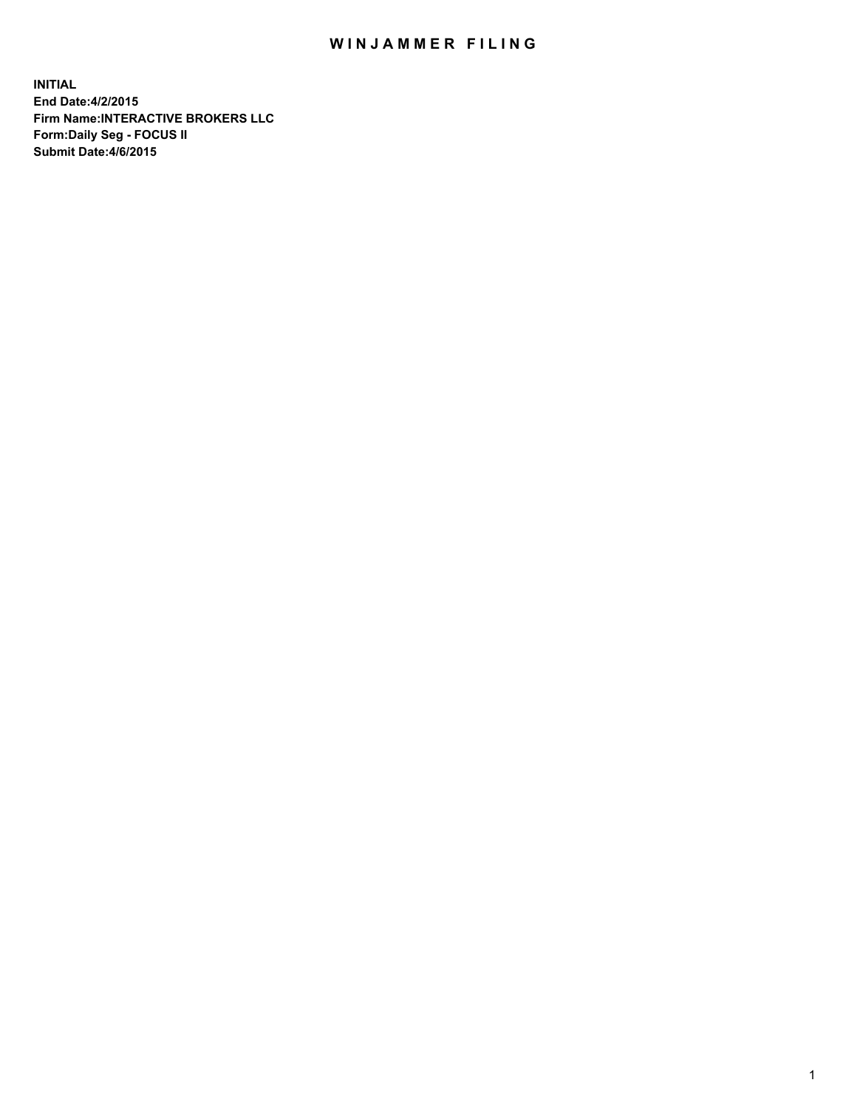## WIN JAMMER FILING

**INITIAL End Date:4/2/2015 Firm Name:INTERACTIVE BROKERS LLC Form:Daily Seg - FOCUS II Submit Date:4/6/2015**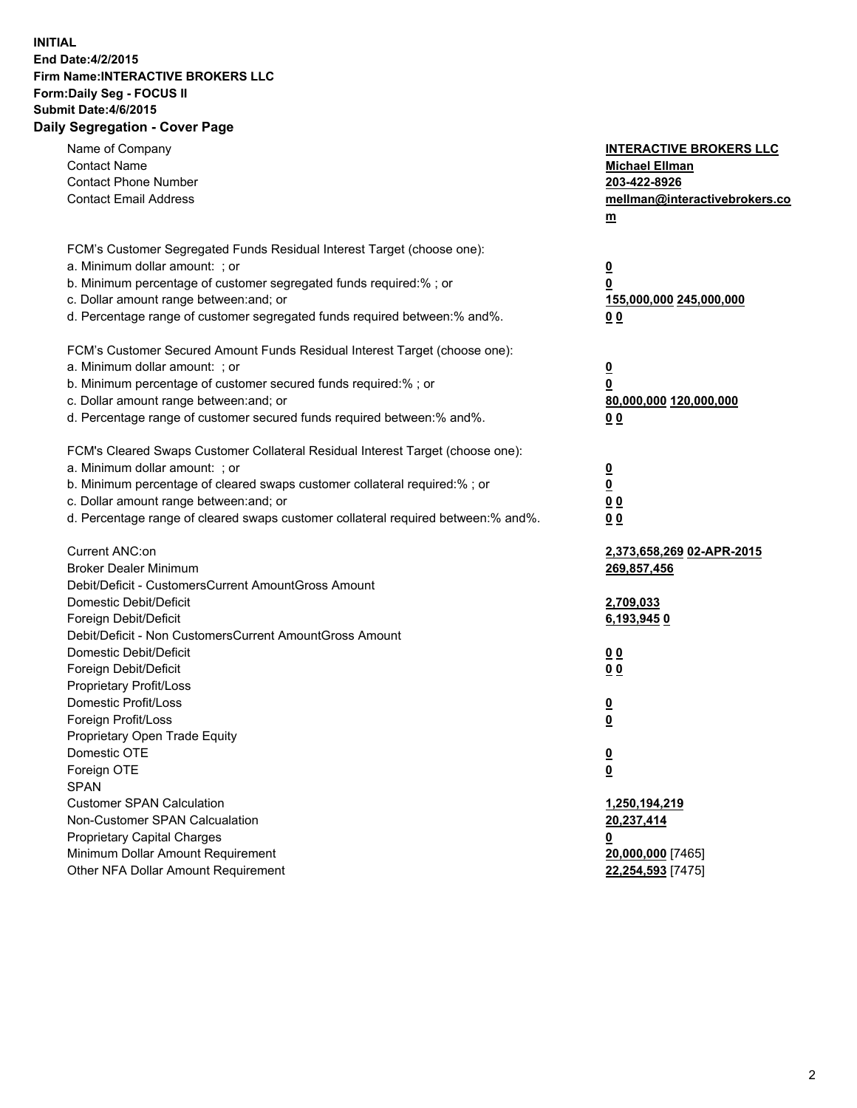## **INITIAL End Date:4/2/2015 Firm Name:INTERACTIVE BROKERS LLC Form:Daily Seg - FOCUS II Submit Date:4/6/2015 Daily Segregation - Cover Page**

| <b>Contact Phone Number</b><br>203-422-8926<br><b>Contact Email Address</b><br>mellman@interactivebrokers.co<br>$\underline{\mathbf{m}}$<br>FCM's Customer Segregated Funds Residual Interest Target (choose one):<br>a. Minimum dollar amount: ; or<br>$\overline{\mathbf{0}}$<br>b. Minimum percentage of customer segregated funds required:% ; or<br>0<br>c. Dollar amount range between: and; or<br>155,000,000 245,000,000<br>d. Percentage range of customer segregated funds required between:% and%.<br>00<br>FCM's Customer Secured Amount Funds Residual Interest Target (choose one):<br>a. Minimum dollar amount: ; or<br>$\overline{\mathbf{0}}$<br>b. Minimum percentage of customer secured funds required:% ; or<br>0<br>c. Dollar amount range between: and; or<br>80,000,000 120,000,000<br>d. Percentage range of customer secured funds required between:% and%.<br>00<br>FCM's Cleared Swaps Customer Collateral Residual Interest Target (choose one):<br>a. Minimum dollar amount: ; or<br>$\overline{\mathbf{0}}$<br>$\underline{\mathbf{0}}$<br>b. Minimum percentage of cleared swaps customer collateral required:% ; or<br>c. Dollar amount range between: and; or<br>0 <sub>0</sub><br>d. Percentage range of cleared swaps customer collateral required between:% and%.<br>0 <sub>0</sub><br>Current ANC:on<br>2,373,658,269 02-APR-2015<br><b>Broker Dealer Minimum</b><br>269,857,456<br>Debit/Deficit - CustomersCurrent AmountGross Amount<br>Domestic Debit/Deficit<br>2,709,033<br>Foreign Debit/Deficit<br>6,193,9450<br>Debit/Deficit - Non CustomersCurrent AmountGross Amount<br>Domestic Debit/Deficit<br>0 <sub>0</sub><br>Foreign Debit/Deficit<br>0 <sub>0</sub><br>Proprietary Profit/Loss<br>Domestic Profit/Loss<br>$\overline{\mathbf{0}}$<br>Foreign Profit/Loss<br>$\underline{\mathbf{0}}$<br>Proprietary Open Trade Equity<br>Domestic OTE<br><u>0</u><br>Foreign OTE<br><u>0</u><br><b>SPAN</b><br><b>Customer SPAN Calculation</b><br>1,250,194,219<br>Non-Customer SPAN Calcualation<br>20,237,414<br><b>Proprietary Capital Charges</b><br><u>0</u><br>Minimum Dollar Amount Requirement<br>20,000,000 [7465]<br>Other NFA Dollar Amount Requirement<br>22,254,593 [7475] | Name of Company<br><b>Contact Name</b> | <b>INTERACTIVE BROKERS LLC</b><br><b>Michael Ellman</b> |
|------------------------------------------------------------------------------------------------------------------------------------------------------------------------------------------------------------------------------------------------------------------------------------------------------------------------------------------------------------------------------------------------------------------------------------------------------------------------------------------------------------------------------------------------------------------------------------------------------------------------------------------------------------------------------------------------------------------------------------------------------------------------------------------------------------------------------------------------------------------------------------------------------------------------------------------------------------------------------------------------------------------------------------------------------------------------------------------------------------------------------------------------------------------------------------------------------------------------------------------------------------------------------------------------------------------------------------------------------------------------------------------------------------------------------------------------------------------------------------------------------------------------------------------------------------------------------------------------------------------------------------------------------------------------------------------------------------------------------------------------------------------------------------------------------------------------------------------------------------------------------------------------------------------------------------------------------------------------------------------------------------------------------------------------------------------------------------------------------------------------------------------------------------------------------------------------------------------------------------|----------------------------------------|---------------------------------------------------------|
|                                                                                                                                                                                                                                                                                                                                                                                                                                                                                                                                                                                                                                                                                                                                                                                                                                                                                                                                                                                                                                                                                                                                                                                                                                                                                                                                                                                                                                                                                                                                                                                                                                                                                                                                                                                                                                                                                                                                                                                                                                                                                                                                                                                                                                    |                                        |                                                         |
|                                                                                                                                                                                                                                                                                                                                                                                                                                                                                                                                                                                                                                                                                                                                                                                                                                                                                                                                                                                                                                                                                                                                                                                                                                                                                                                                                                                                                                                                                                                                                                                                                                                                                                                                                                                                                                                                                                                                                                                                                                                                                                                                                                                                                                    |                                        |                                                         |
|                                                                                                                                                                                                                                                                                                                                                                                                                                                                                                                                                                                                                                                                                                                                                                                                                                                                                                                                                                                                                                                                                                                                                                                                                                                                                                                                                                                                                                                                                                                                                                                                                                                                                                                                                                                                                                                                                                                                                                                                                                                                                                                                                                                                                                    |                                        |                                                         |
|                                                                                                                                                                                                                                                                                                                                                                                                                                                                                                                                                                                                                                                                                                                                                                                                                                                                                                                                                                                                                                                                                                                                                                                                                                                                                                                                                                                                                                                                                                                                                                                                                                                                                                                                                                                                                                                                                                                                                                                                                                                                                                                                                                                                                                    |                                        |                                                         |
|                                                                                                                                                                                                                                                                                                                                                                                                                                                                                                                                                                                                                                                                                                                                                                                                                                                                                                                                                                                                                                                                                                                                                                                                                                                                                                                                                                                                                                                                                                                                                                                                                                                                                                                                                                                                                                                                                                                                                                                                                                                                                                                                                                                                                                    |                                        |                                                         |
|                                                                                                                                                                                                                                                                                                                                                                                                                                                                                                                                                                                                                                                                                                                                                                                                                                                                                                                                                                                                                                                                                                                                                                                                                                                                                                                                                                                                                                                                                                                                                                                                                                                                                                                                                                                                                                                                                                                                                                                                                                                                                                                                                                                                                                    |                                        |                                                         |
|                                                                                                                                                                                                                                                                                                                                                                                                                                                                                                                                                                                                                                                                                                                                                                                                                                                                                                                                                                                                                                                                                                                                                                                                                                                                                                                                                                                                                                                                                                                                                                                                                                                                                                                                                                                                                                                                                                                                                                                                                                                                                                                                                                                                                                    |                                        |                                                         |
|                                                                                                                                                                                                                                                                                                                                                                                                                                                                                                                                                                                                                                                                                                                                                                                                                                                                                                                                                                                                                                                                                                                                                                                                                                                                                                                                                                                                                                                                                                                                                                                                                                                                                                                                                                                                                                                                                                                                                                                                                                                                                                                                                                                                                                    |                                        |                                                         |
|                                                                                                                                                                                                                                                                                                                                                                                                                                                                                                                                                                                                                                                                                                                                                                                                                                                                                                                                                                                                                                                                                                                                                                                                                                                                                                                                                                                                                                                                                                                                                                                                                                                                                                                                                                                                                                                                                                                                                                                                                                                                                                                                                                                                                                    |                                        |                                                         |
|                                                                                                                                                                                                                                                                                                                                                                                                                                                                                                                                                                                                                                                                                                                                                                                                                                                                                                                                                                                                                                                                                                                                                                                                                                                                                                                                                                                                                                                                                                                                                                                                                                                                                                                                                                                                                                                                                                                                                                                                                                                                                                                                                                                                                                    |                                        |                                                         |
|                                                                                                                                                                                                                                                                                                                                                                                                                                                                                                                                                                                                                                                                                                                                                                                                                                                                                                                                                                                                                                                                                                                                                                                                                                                                                                                                                                                                                                                                                                                                                                                                                                                                                                                                                                                                                                                                                                                                                                                                                                                                                                                                                                                                                                    |                                        |                                                         |
|                                                                                                                                                                                                                                                                                                                                                                                                                                                                                                                                                                                                                                                                                                                                                                                                                                                                                                                                                                                                                                                                                                                                                                                                                                                                                                                                                                                                                                                                                                                                                                                                                                                                                                                                                                                                                                                                                                                                                                                                                                                                                                                                                                                                                                    |                                        |                                                         |
|                                                                                                                                                                                                                                                                                                                                                                                                                                                                                                                                                                                                                                                                                                                                                                                                                                                                                                                                                                                                                                                                                                                                                                                                                                                                                                                                                                                                                                                                                                                                                                                                                                                                                                                                                                                                                                                                                                                                                                                                                                                                                                                                                                                                                                    |                                        |                                                         |
|                                                                                                                                                                                                                                                                                                                                                                                                                                                                                                                                                                                                                                                                                                                                                                                                                                                                                                                                                                                                                                                                                                                                                                                                                                                                                                                                                                                                                                                                                                                                                                                                                                                                                                                                                                                                                                                                                                                                                                                                                                                                                                                                                                                                                                    |                                        |                                                         |
|                                                                                                                                                                                                                                                                                                                                                                                                                                                                                                                                                                                                                                                                                                                                                                                                                                                                                                                                                                                                                                                                                                                                                                                                                                                                                                                                                                                                                                                                                                                                                                                                                                                                                                                                                                                                                                                                                                                                                                                                                                                                                                                                                                                                                                    |                                        |                                                         |
|                                                                                                                                                                                                                                                                                                                                                                                                                                                                                                                                                                                                                                                                                                                                                                                                                                                                                                                                                                                                                                                                                                                                                                                                                                                                                                                                                                                                                                                                                                                                                                                                                                                                                                                                                                                                                                                                                                                                                                                                                                                                                                                                                                                                                                    |                                        |                                                         |
|                                                                                                                                                                                                                                                                                                                                                                                                                                                                                                                                                                                                                                                                                                                                                                                                                                                                                                                                                                                                                                                                                                                                                                                                                                                                                                                                                                                                                                                                                                                                                                                                                                                                                                                                                                                                                                                                                                                                                                                                                                                                                                                                                                                                                                    |                                        |                                                         |
|                                                                                                                                                                                                                                                                                                                                                                                                                                                                                                                                                                                                                                                                                                                                                                                                                                                                                                                                                                                                                                                                                                                                                                                                                                                                                                                                                                                                                                                                                                                                                                                                                                                                                                                                                                                                                                                                                                                                                                                                                                                                                                                                                                                                                                    |                                        |                                                         |
|                                                                                                                                                                                                                                                                                                                                                                                                                                                                                                                                                                                                                                                                                                                                                                                                                                                                                                                                                                                                                                                                                                                                                                                                                                                                                                                                                                                                                                                                                                                                                                                                                                                                                                                                                                                                                                                                                                                                                                                                                                                                                                                                                                                                                                    |                                        |                                                         |
|                                                                                                                                                                                                                                                                                                                                                                                                                                                                                                                                                                                                                                                                                                                                                                                                                                                                                                                                                                                                                                                                                                                                                                                                                                                                                                                                                                                                                                                                                                                                                                                                                                                                                                                                                                                                                                                                                                                                                                                                                                                                                                                                                                                                                                    |                                        |                                                         |
|                                                                                                                                                                                                                                                                                                                                                                                                                                                                                                                                                                                                                                                                                                                                                                                                                                                                                                                                                                                                                                                                                                                                                                                                                                                                                                                                                                                                                                                                                                                                                                                                                                                                                                                                                                                                                                                                                                                                                                                                                                                                                                                                                                                                                                    |                                        |                                                         |
|                                                                                                                                                                                                                                                                                                                                                                                                                                                                                                                                                                                                                                                                                                                                                                                                                                                                                                                                                                                                                                                                                                                                                                                                                                                                                                                                                                                                                                                                                                                                                                                                                                                                                                                                                                                                                                                                                                                                                                                                                                                                                                                                                                                                                                    |                                        |                                                         |
|                                                                                                                                                                                                                                                                                                                                                                                                                                                                                                                                                                                                                                                                                                                                                                                                                                                                                                                                                                                                                                                                                                                                                                                                                                                                                                                                                                                                                                                                                                                                                                                                                                                                                                                                                                                                                                                                                                                                                                                                                                                                                                                                                                                                                                    |                                        |                                                         |
|                                                                                                                                                                                                                                                                                                                                                                                                                                                                                                                                                                                                                                                                                                                                                                                                                                                                                                                                                                                                                                                                                                                                                                                                                                                                                                                                                                                                                                                                                                                                                                                                                                                                                                                                                                                                                                                                                                                                                                                                                                                                                                                                                                                                                                    |                                        |                                                         |
|                                                                                                                                                                                                                                                                                                                                                                                                                                                                                                                                                                                                                                                                                                                                                                                                                                                                                                                                                                                                                                                                                                                                                                                                                                                                                                                                                                                                                                                                                                                                                                                                                                                                                                                                                                                                                                                                                                                                                                                                                                                                                                                                                                                                                                    |                                        |                                                         |
|                                                                                                                                                                                                                                                                                                                                                                                                                                                                                                                                                                                                                                                                                                                                                                                                                                                                                                                                                                                                                                                                                                                                                                                                                                                                                                                                                                                                                                                                                                                                                                                                                                                                                                                                                                                                                                                                                                                                                                                                                                                                                                                                                                                                                                    |                                        |                                                         |
|                                                                                                                                                                                                                                                                                                                                                                                                                                                                                                                                                                                                                                                                                                                                                                                                                                                                                                                                                                                                                                                                                                                                                                                                                                                                                                                                                                                                                                                                                                                                                                                                                                                                                                                                                                                                                                                                                                                                                                                                                                                                                                                                                                                                                                    |                                        |                                                         |
|                                                                                                                                                                                                                                                                                                                                                                                                                                                                                                                                                                                                                                                                                                                                                                                                                                                                                                                                                                                                                                                                                                                                                                                                                                                                                                                                                                                                                                                                                                                                                                                                                                                                                                                                                                                                                                                                                                                                                                                                                                                                                                                                                                                                                                    |                                        |                                                         |
|                                                                                                                                                                                                                                                                                                                                                                                                                                                                                                                                                                                                                                                                                                                                                                                                                                                                                                                                                                                                                                                                                                                                                                                                                                                                                                                                                                                                                                                                                                                                                                                                                                                                                                                                                                                                                                                                                                                                                                                                                                                                                                                                                                                                                                    |                                        |                                                         |
|                                                                                                                                                                                                                                                                                                                                                                                                                                                                                                                                                                                                                                                                                                                                                                                                                                                                                                                                                                                                                                                                                                                                                                                                                                                                                                                                                                                                                                                                                                                                                                                                                                                                                                                                                                                                                                                                                                                                                                                                                                                                                                                                                                                                                                    |                                        |                                                         |
|                                                                                                                                                                                                                                                                                                                                                                                                                                                                                                                                                                                                                                                                                                                                                                                                                                                                                                                                                                                                                                                                                                                                                                                                                                                                                                                                                                                                                                                                                                                                                                                                                                                                                                                                                                                                                                                                                                                                                                                                                                                                                                                                                                                                                                    |                                        |                                                         |
|                                                                                                                                                                                                                                                                                                                                                                                                                                                                                                                                                                                                                                                                                                                                                                                                                                                                                                                                                                                                                                                                                                                                                                                                                                                                                                                                                                                                                                                                                                                                                                                                                                                                                                                                                                                                                                                                                                                                                                                                                                                                                                                                                                                                                                    |                                        |                                                         |
|                                                                                                                                                                                                                                                                                                                                                                                                                                                                                                                                                                                                                                                                                                                                                                                                                                                                                                                                                                                                                                                                                                                                                                                                                                                                                                                                                                                                                                                                                                                                                                                                                                                                                                                                                                                                                                                                                                                                                                                                                                                                                                                                                                                                                                    |                                        |                                                         |
|                                                                                                                                                                                                                                                                                                                                                                                                                                                                                                                                                                                                                                                                                                                                                                                                                                                                                                                                                                                                                                                                                                                                                                                                                                                                                                                                                                                                                                                                                                                                                                                                                                                                                                                                                                                                                                                                                                                                                                                                                                                                                                                                                                                                                                    |                                        |                                                         |
|                                                                                                                                                                                                                                                                                                                                                                                                                                                                                                                                                                                                                                                                                                                                                                                                                                                                                                                                                                                                                                                                                                                                                                                                                                                                                                                                                                                                                                                                                                                                                                                                                                                                                                                                                                                                                                                                                                                                                                                                                                                                                                                                                                                                                                    |                                        |                                                         |
|                                                                                                                                                                                                                                                                                                                                                                                                                                                                                                                                                                                                                                                                                                                                                                                                                                                                                                                                                                                                                                                                                                                                                                                                                                                                                                                                                                                                                                                                                                                                                                                                                                                                                                                                                                                                                                                                                                                                                                                                                                                                                                                                                                                                                                    |                                        |                                                         |
|                                                                                                                                                                                                                                                                                                                                                                                                                                                                                                                                                                                                                                                                                                                                                                                                                                                                                                                                                                                                                                                                                                                                                                                                                                                                                                                                                                                                                                                                                                                                                                                                                                                                                                                                                                                                                                                                                                                                                                                                                                                                                                                                                                                                                                    |                                        |                                                         |
|                                                                                                                                                                                                                                                                                                                                                                                                                                                                                                                                                                                                                                                                                                                                                                                                                                                                                                                                                                                                                                                                                                                                                                                                                                                                                                                                                                                                                                                                                                                                                                                                                                                                                                                                                                                                                                                                                                                                                                                                                                                                                                                                                                                                                                    |                                        |                                                         |
|                                                                                                                                                                                                                                                                                                                                                                                                                                                                                                                                                                                                                                                                                                                                                                                                                                                                                                                                                                                                                                                                                                                                                                                                                                                                                                                                                                                                                                                                                                                                                                                                                                                                                                                                                                                                                                                                                                                                                                                                                                                                                                                                                                                                                                    |                                        |                                                         |
|                                                                                                                                                                                                                                                                                                                                                                                                                                                                                                                                                                                                                                                                                                                                                                                                                                                                                                                                                                                                                                                                                                                                                                                                                                                                                                                                                                                                                                                                                                                                                                                                                                                                                                                                                                                                                                                                                                                                                                                                                                                                                                                                                                                                                                    |                                        |                                                         |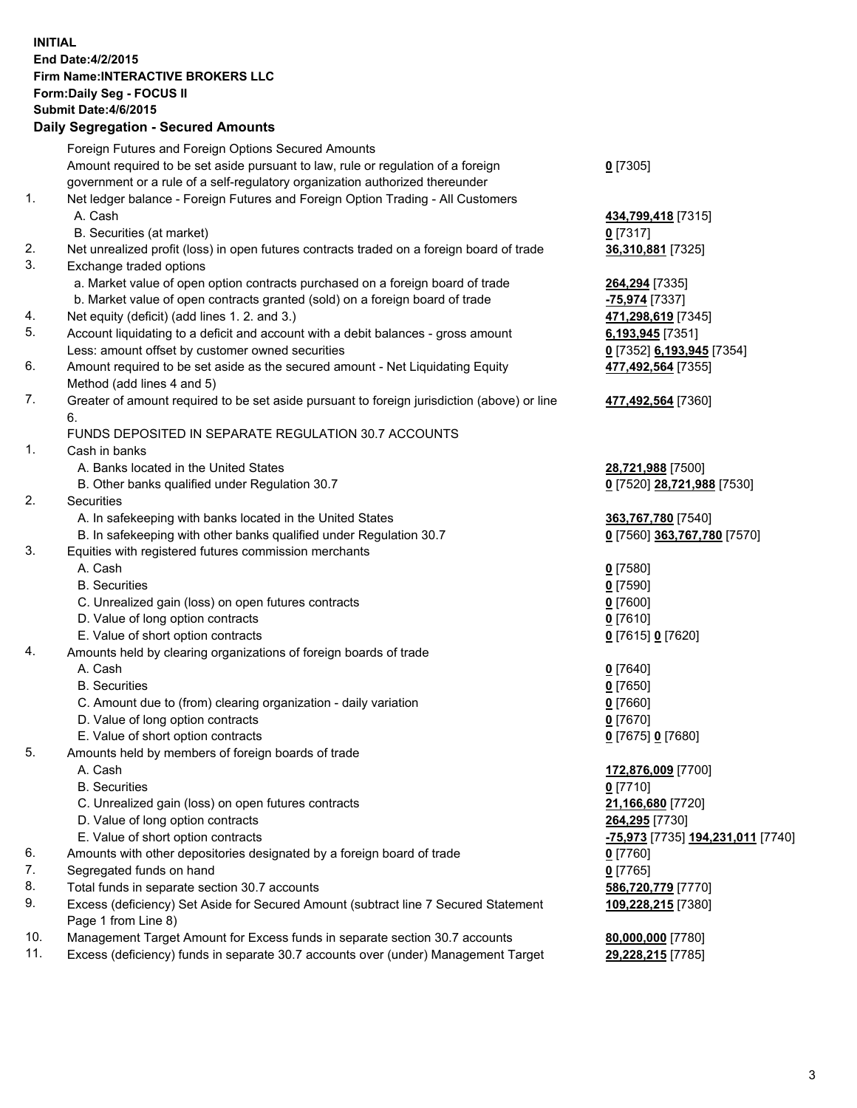## **INITIAL End Date:4/2/2015 Firm Name:INTERACTIVE BROKERS LLC Form:Daily Seg - FOCUS II Submit Date:4/6/2015 Daily Segregation - Secured Amounts**

|     | Dany Ocgregation - Oceanea Annoanta                                                         |                                   |
|-----|---------------------------------------------------------------------------------------------|-----------------------------------|
|     | Foreign Futures and Foreign Options Secured Amounts                                         |                                   |
|     | Amount required to be set aside pursuant to law, rule or regulation of a foreign            | $0$ [7305]                        |
|     | government or a rule of a self-regulatory organization authorized thereunder                |                                   |
| 1.  | Net ledger balance - Foreign Futures and Foreign Option Trading - All Customers             |                                   |
|     | A. Cash                                                                                     | 434,799,418 [7315]                |
|     | B. Securities (at market)                                                                   | $0$ [7317]                        |
| 2.  | Net unrealized profit (loss) in open futures contracts traded on a foreign board of trade   | 36,310,881 [7325]                 |
| 3.  | Exchange traded options                                                                     |                                   |
|     | a. Market value of open option contracts purchased on a foreign board of trade              | 264,294 [7335]                    |
|     | b. Market value of open contracts granted (sold) on a foreign board of trade                | <u>-75,974</u> [7337]             |
| 4.  | Net equity (deficit) (add lines 1.2. and 3.)                                                | 471,298,619 [7345]                |
| 5.  | Account liquidating to a deficit and account with a debit balances - gross amount           | 6,193,945 [7351]                  |
|     | Less: amount offset by customer owned securities                                            | 0 [7352] 6,193,945 [7354]         |
| 6.  | Amount required to be set aside as the secured amount - Net Liquidating Equity              | 477,492,564 [7355]                |
|     | Method (add lines 4 and 5)                                                                  |                                   |
| 7.  | Greater of amount required to be set aside pursuant to foreign jurisdiction (above) or line | 477,492,564 [7360]                |
|     | 6.                                                                                          |                                   |
|     | FUNDS DEPOSITED IN SEPARATE REGULATION 30.7 ACCOUNTS                                        |                                   |
| 1.  | Cash in banks                                                                               |                                   |
|     | A. Banks located in the United States                                                       | 28,721,988 [7500]                 |
|     | B. Other banks qualified under Regulation 30.7                                              | 0 [7520] 28,721,988 [7530]        |
| 2.  | Securities                                                                                  |                                   |
|     | A. In safekeeping with banks located in the United States                                   | 363,767,780 [7540]                |
|     | B. In safekeeping with other banks qualified under Regulation 30.7                          | 0 [7560] 363,767,780 [7570]       |
| 3.  | Equities with registered futures commission merchants                                       |                                   |
|     | A. Cash                                                                                     | $0$ [7580]                        |
|     | <b>B.</b> Securities                                                                        | $0$ [7590]                        |
|     | C. Unrealized gain (loss) on open futures contracts                                         | $0$ [7600]                        |
|     | D. Value of long option contracts                                                           | $0$ [7610]                        |
|     | E. Value of short option contracts                                                          | 0 [7615] 0 [7620]                 |
| 4.  | Amounts held by clearing organizations of foreign boards of trade                           |                                   |
|     | A. Cash                                                                                     | $0$ [7640]                        |
|     | <b>B.</b> Securities                                                                        | $0$ [7650]                        |
|     | C. Amount due to (from) clearing organization - daily variation                             | $0$ [7660]                        |
|     | D. Value of long option contracts                                                           | $0$ [7670]                        |
|     | E. Value of short option contracts                                                          | 0 [7675] 0 [7680]                 |
| 5.  | Amounts held by members of foreign boards of trade                                          |                                   |
|     | A. Cash                                                                                     | 172,876,009 [7700]                |
|     | <b>B.</b> Securities                                                                        | $0$ [7710]                        |
|     | C. Unrealized gain (loss) on open futures contracts                                         | 21,166,680 [7720]                 |
|     | D. Value of long option contracts                                                           | 264,295 [7730]                    |
|     | E. Value of short option contracts                                                          | -75,973 [7735] 194,231,011 [7740] |
| 6.  | Amounts with other depositories designated by a foreign board of trade                      | $0$ [7760]                        |
| 7.  | Segregated funds on hand                                                                    | $0$ [7765]                        |
| 8.  | Total funds in separate section 30.7 accounts                                               | 586,720,779 [7770]                |
| 9.  | Excess (deficiency) Set Aside for Secured Amount (subtract line 7 Secured Statement         | 109,228,215 [7380]                |
|     | Page 1 from Line 8)                                                                         |                                   |
| 10. | Management Target Amount for Excess funds in separate section 30.7 accounts                 | 80,000,000 [7780]                 |
| 11. | Excess (deficiency) funds in separate 30.7 accounts over (under) Management Target          | 29,228,215 [7785]                 |
|     |                                                                                             |                                   |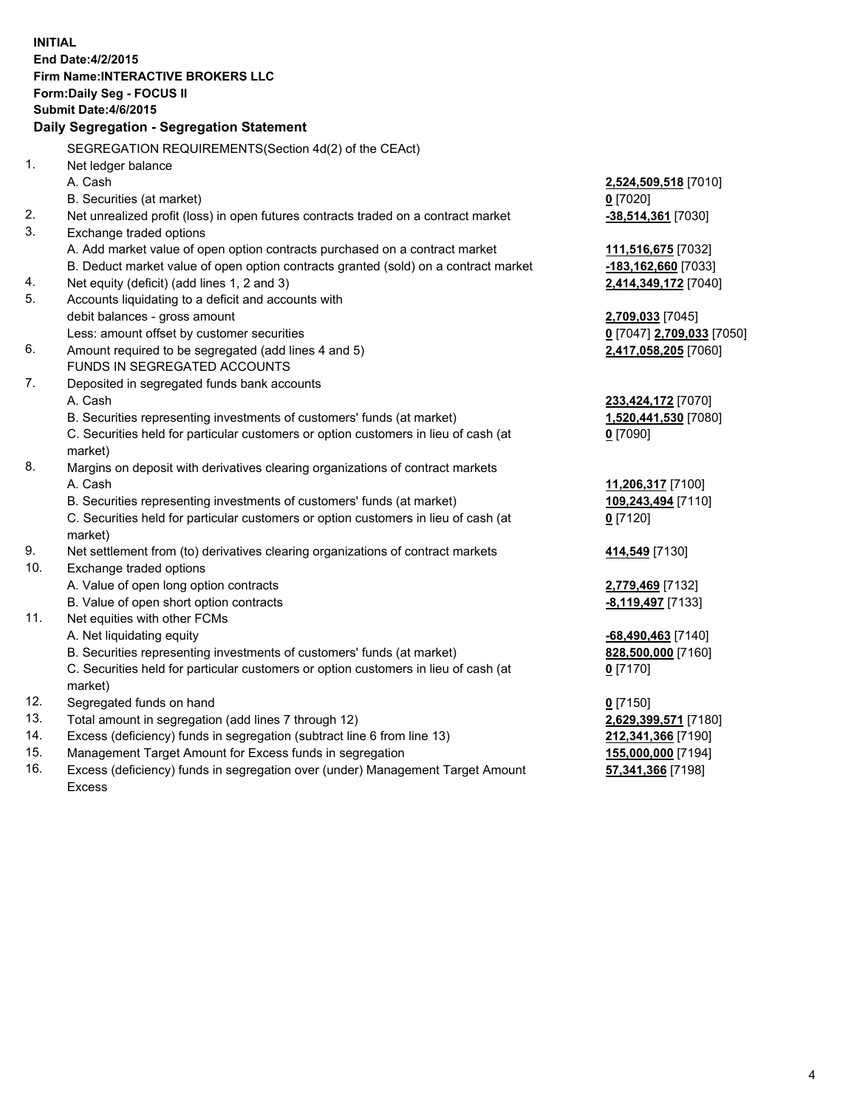**INITIAL End Date:4/2/2015 Firm Name:INTERACTIVE BROKERS LLC Form:Daily Seg - FOCUS II Submit Date:4/6/2015 Daily Segregation - Segregation Statement** SEGREGATION REQUIREMENTS(Section 4d(2) of the CEAct) 1. Net ledger balance A. Cash **2,524,509,518** [7010] B. Securities (at market) **0** [7020] 2. Net unrealized profit (loss) in open futures contracts traded on a contract market **-38,514,361** [7030] 3. Exchange traded options A. Add market value of open option contracts purchased on a contract market **111,516,675** [7032] B. Deduct market value of open option contracts granted (sold) on a contract market **-183,162,660** [7033] 4. Net equity (deficit) (add lines 1, 2 and 3) **2,414,349,172** [7040] 5. Accounts liquidating to a deficit and accounts with debit balances - gross amount **2,709,033** [7045] Less: amount offset by customer securities **0** [7047] **2,709,033** [7050] 6. Amount required to be segregated (add lines 4 and 5) **2,417,058,205** [7060] FUNDS IN SEGREGATED ACCOUNTS 7. Deposited in segregated funds bank accounts A. Cash **233,424,172** [7070] B. Securities representing investments of customers' funds (at market) **1,520,441,530** [7080] C. Securities held for particular customers or option customers in lieu of cash (at market) **0** [7090] 8. Margins on deposit with derivatives clearing organizations of contract markets A. Cash **11,206,317** [7100] B. Securities representing investments of customers' funds (at market) **109,243,494** [7110] C. Securities held for particular customers or option customers in lieu of cash (at market) **0** [7120] 9. Net settlement from (to) derivatives clearing organizations of contract markets **414,549** [7130] 10. Exchange traded options A. Value of open long option contracts **2,779,469** [7132] B. Value of open short option contracts **-8,119,497** [7133] 11. Net equities with other FCMs A. Net liquidating equity **-68,490,463** [7140] B. Securities representing investments of customers' funds (at market) **828,500,000** [7160] C. Securities held for particular customers or option customers in lieu of cash (at market) **0** [7170] 12. Segregated funds on hand **0** [7150] 13. Total amount in segregation (add lines 7 through 12) **2,629,399,571** [7180] 14. Excess (deficiency) funds in segregation (subtract line 6 from line 13) **212,341,366** [7190] 15. Management Target Amount for Excess funds in segregation **155,000,000** [7194]

16. Excess (deficiency) funds in segregation over (under) Management Target Amount Excess

**57,341,366** [7198]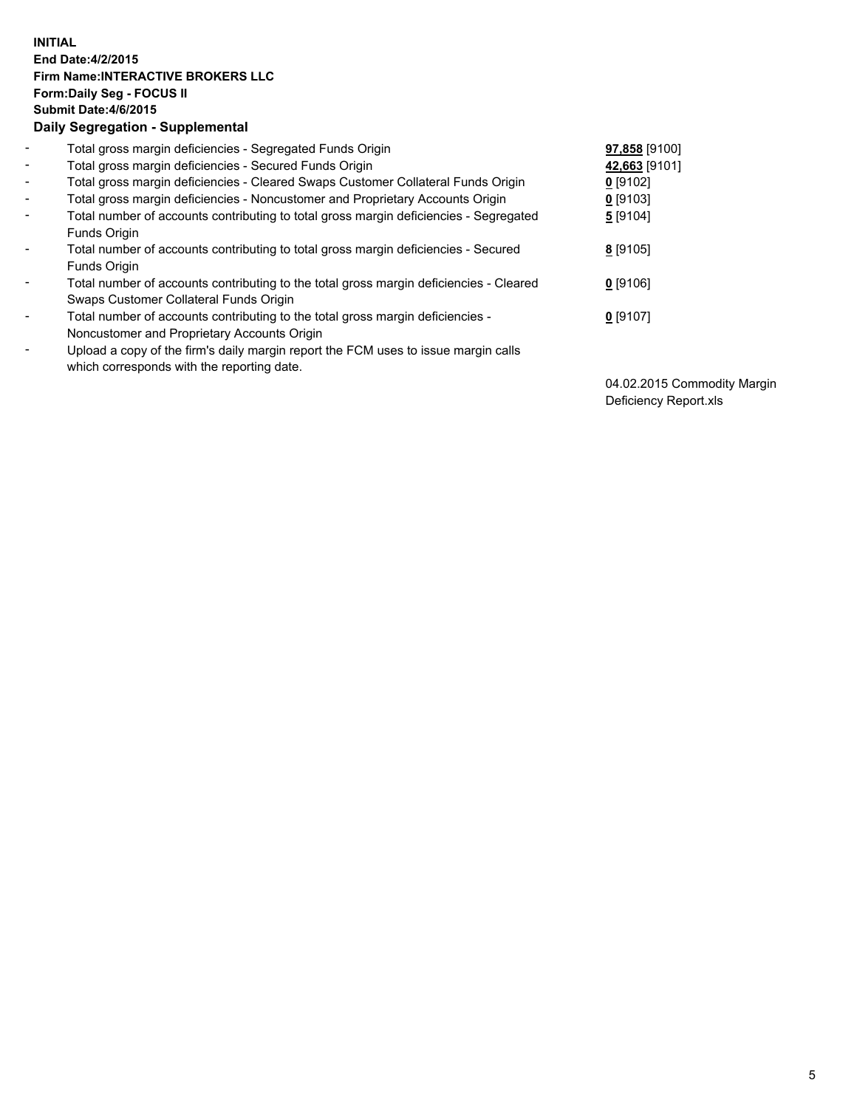## **INITIAL End Date:4/2/2015 Firm Name:INTERACTIVE BROKERS LLC Form:Daily Seg - FOCUS II Submit Date:4/6/2015 Daily Segregation - Supplemental**

| $\blacksquare$           | Total gross margin deficiencies - Segregated Funds Origin                              | 97,858 [9100] |
|--------------------------|----------------------------------------------------------------------------------------|---------------|
| $\sim$                   | Total gross margin deficiencies - Secured Funds Origin                                 | 42,663 [9101] |
| $\blacksquare$           | Total gross margin deficiencies - Cleared Swaps Customer Collateral Funds Origin       | $0$ [9102]    |
| $\blacksquare$           | Total gross margin deficiencies - Noncustomer and Proprietary Accounts Origin          | $0$ [9103]    |
| $\blacksquare$           | Total number of accounts contributing to total gross margin deficiencies - Segregated  | 5 [9104]      |
|                          | <b>Funds Origin</b>                                                                    |               |
| $\blacksquare$           | Total number of accounts contributing to total gross margin deficiencies - Secured     | 8 [9105]      |
|                          | Funds Origin                                                                           |               |
| $\blacksquare$           | Total number of accounts contributing to the total gross margin deficiencies - Cleared | $0$ [9106]    |
|                          | Swaps Customer Collateral Funds Origin                                                 |               |
| $\blacksquare$           | Total number of accounts contributing to the total gross margin deficiencies -         | $0$ [9107]    |
|                          | Noncustomer and Proprietary Accounts Origin                                            |               |
| $\overline{\phantom{0}}$ | Upload a copy of the firm's daily margin report the FCM uses to issue margin calls     |               |
|                          | which corresponds with the reporting date.                                             |               |

04.02.2015 Commodity Margin Deficiency Report.xls